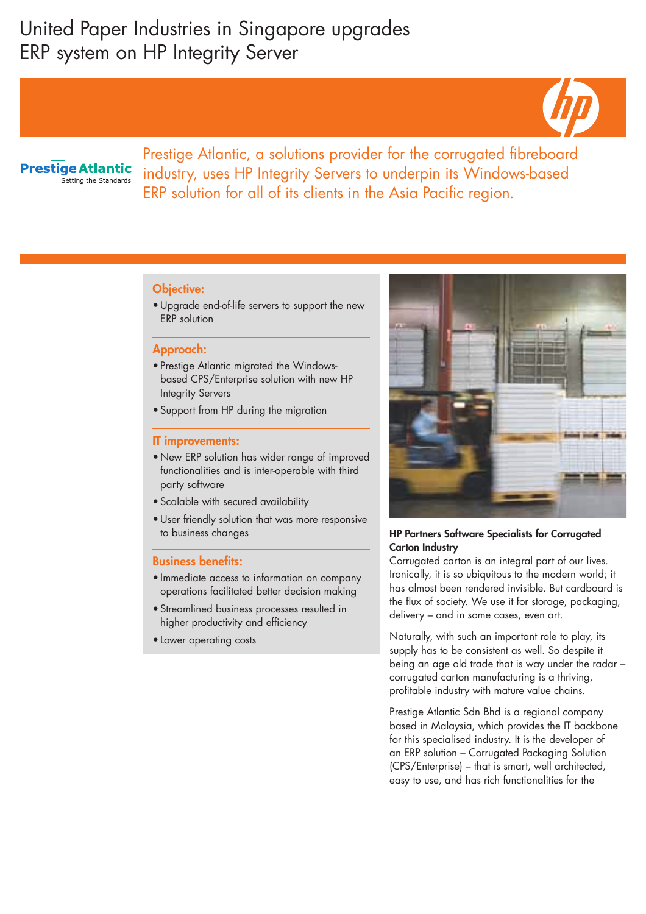# United Paper Industries in Singapore upgrades ERP system on HP Integrity Server



# **Prestige Atlantic** Setting the Standards

Prestige Atlantic, a solutions provider for the corrugated fibreboard industry, uses HP Integrity Servers to underpin its Windows-based ERP solution for all of its clients in the Asia Pacific region.

### Objective:

• Upgrade end-of-life servers to support the new ERP solution

### Approach:

- Prestige Atlantic migrated the Windowsbased CPS/Enterprise solution with new HP Integrity Servers
- Support from HP during the migration

#### IT improvements:

- New ERP solution has wider range of improved functionalities and is inter-operable with third party software
- Scalable with secured availability
- User friendly solution that was more responsive to business changes

### Business benefits:

- Immediate access to information on company operations facilitated better decision making
- Streamlined business processes resulted in higher productivity and efficiency
- Lower operating costs



## HP Partners Software Specialists for Corrugated Carton Industry

Corrugated carton is an integral part of our lives. Ironically, it is so ubiquitous to the modern world; it has almost been rendered invisible. But cardboard is the flux of society. We use it for storage, packaging, delivery – and in some cases, even art.

Naturally, with such an important role to play, its supply has to be consistent as well. So despite it being an age old trade that is way under the radar – corrugated carton manufacturing is a thriving, profitable industry with mature value chains.

Prestige Atlantic Sdn Bhd is a regional company based in Malaysia, which provides the IT backbone for this specialised industry. It is the developer of an ERP solution – Corrugated Packaging Solution (CPS/Enterprise) – that is smart, well architected, easy to use, and has rich functionalities for the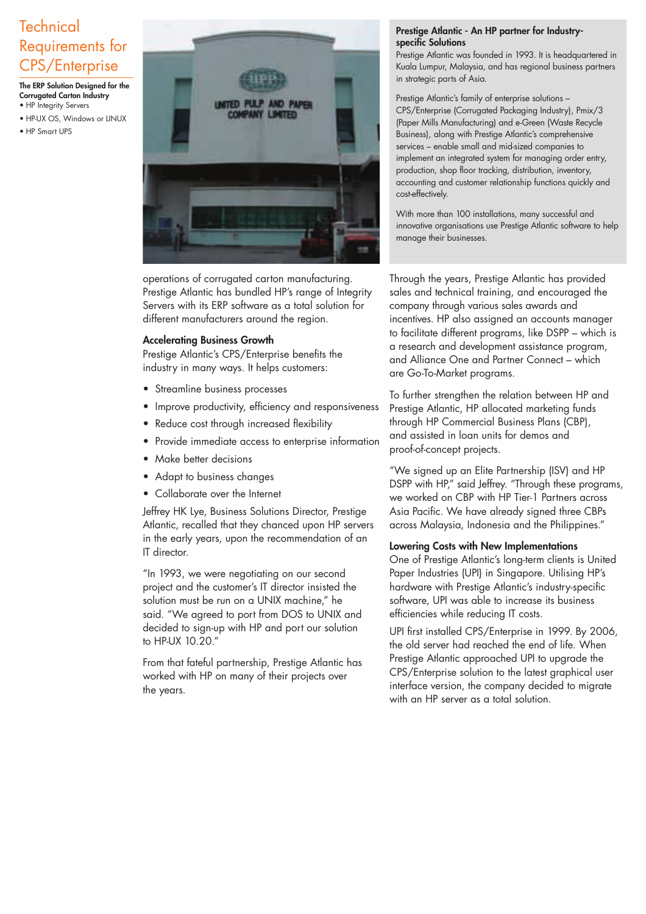# **Technical** Requirements for CPS/Enterprise

The ERP Solution Designed for the Corrugated Carton Industry • HP Integrity Servers

- HP-UX OS, Windows or LINUX
- HP Smart UPS



operations of corrugated carton manufacturing. Prestige Atlantic has bundled HP's range of Integrity Servers with its ERP software as a total solution for different manufacturers around the region.

### Accelerating Business Growth

Prestige Atlantic's CPS/Enterprise benefits the industry in many ways. It helps customers:

- Streamline business processes
- Improve productivity, efficiency and responsiveness
- Reduce cost through increased flexibility
- Provide immediate access to enterprise information
- Make better decisions
- Adapt to business changes
- Collaborate over the Internet

Jeffrey HK Lye, Business Solutions Director, Prestige Atlantic, recalled that they chanced upon HP servers in the early years, upon the recommendation of an IT director.

"In 1993, we were negotiating on our second project and the customer's IT director insisted the solution must be run on a UNIX machine," he said. "We agreed to port from DOS to UNIX and decided to sign-up with HP and port our solution to HP-UX 10.20."

From that fateful partnership, Prestige Atlantic has worked with HP on many of their projects over the years.

#### Prestige Atlantic - An HP partner for Industryspecific Solutions

Prestige Atlantic was founded in 1993. It is headquartered in Kuala Lumpur, Malaysia, and has regional business partners in strategic parts of Asia.

Prestige Atlantic's family of enterprise solutions – CPS/Enterprise (Corrugated Packaging Industry), Pmix/3 (Paper Mills Manufacturing) and e-Green (Waste Recycle Business), along with Prestige Atlantic's comprehensive services – enable small and mid-sized companies to implement an integrated system for managing order entry, production, shop floor tracking, distribution, inventory, accounting and customer relationship functions quickly and cost-effectively.

With more than 100 installations, many successful and innovative organisations use Prestige Atlantic software to help manage their businesses.

Through the years, Prestige Atlantic has provided sales and technical training, and encouraged the company through various sales awards and incentives. HP also assigned an accounts manager to facilitate different programs, like DSPP – which is a research and development assistance program, and Alliance One and Partner Connect – which are Go-To-Market programs.

To further strengthen the relation between HP and Prestige Atlantic, HP allocated marketing funds through HP Commercial Business Plans (CBP), and assisted in loan units for demos and proof-of-concept projects.

"We signed up an Elite Partnership (ISV) and HP DSPP with HP," said Jeffrey. "Through these programs, we worked on CBP with HP Tier-1 Partners across Asia Pacific. We have already signed three CBPs across Malaysia, Indonesia and the Philippines."

### Lowering Costs with New Implementations

One of Prestige Atlantic's long-term clients is United Paper Industries (UPI) in Singapore. Utilising HP's hardware with Prestige Atlantic's industry-specific software, UPI was able to increase its business efficiencies while reducing IT costs.

UPI first installed CPS/Enterprise in 1999. By 2006, the old server had reached the end of life. When Prestige Atlantic approached UPI to upgrade the CPS/Enterprise solution to the latest graphical user interface version, the company decided to migrate with an HP server as a total solution.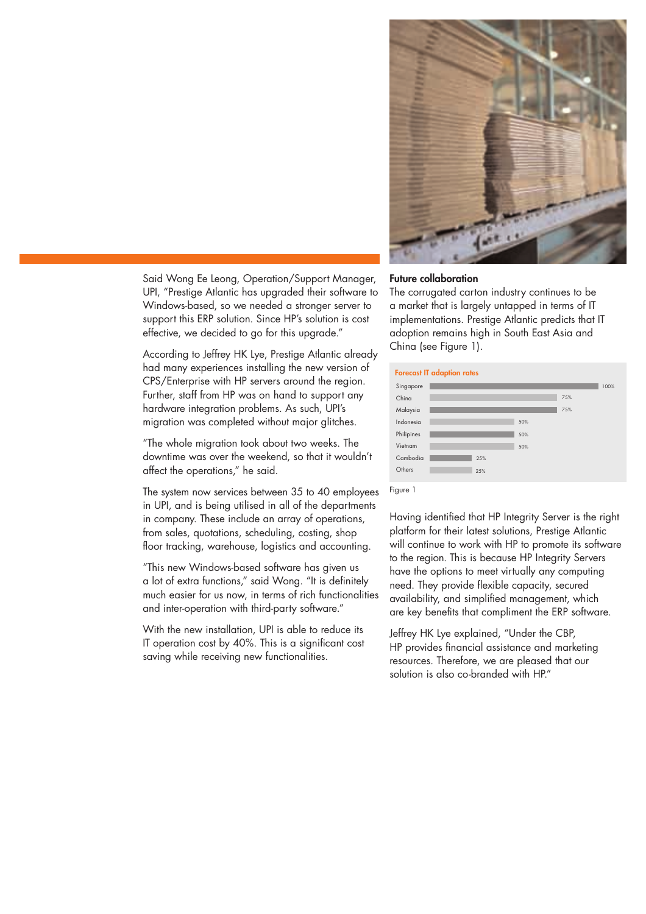

Said Wong Ee Leong, Operation/Support Manager, UPI, "Prestige Atlantic has upgraded their software to Windows-based, so we needed a stronger server to support this ERP solution. Since HP's solution is cost effective, we decided to go for this upgrade."

According to Jeffrey HK Lye, Prestige Atlantic already had many experiences installing the new version of CPS/Enterprise with HP servers around the region. Further, staff from HP was on hand to support any hardware integration problems. As such, UPI's migration was completed without major glitches.

"The whole migration took about two weeks. The downtime was over the weekend, so that it wouldn't affect the operations," he said.

The system now services between 35 to 40 employees in UPI, and is being utilised in all of the departments in company. These include an array of operations, from sales, quotations, scheduling, costing, shop floor tracking, warehouse, logistics and accounting.

"This new Windows-based software has given us a lot of extra functions," said Wong. "It is definitely much easier for us now, in terms of rich functionalities and inter-operation with third-party software."

With the new installation, UPI is able to reduce its IT operation cost by 40%. This is a significant cost saving while receiving new functionalities.

## Future collaboration

The corrugated carton industry continues to be a market that is largely untapped in terms of IT implementations. Prestige Atlantic predicts that IT adoption remains high in South East Asia and China (see Figure 1).

| <b>Forecast IT adaption rates</b> |  |     |     |     |      |
|-----------------------------------|--|-----|-----|-----|------|
| Singapore                         |  |     |     |     | 100% |
| China                             |  |     |     | 75% |      |
| Malaysia                          |  |     |     | 75% |      |
| Indonesia                         |  |     | 50% |     |      |
| Philipines                        |  |     | 50% |     |      |
| Vietnam                           |  |     | 50% |     |      |
| Cambodia                          |  | 25% |     |     |      |
| Others                            |  | 25% |     |     |      |
|                                   |  |     |     |     |      |

Figure 1

Having identified that HP Integrity Server is the right platform for their latest solutions, Prestige Atlantic will continue to work with HP to promote its software to the region. This is because HP Integrity Servers have the options to meet virtually any computing need. They provide flexible capacity, secured availability, and simplified management, which are key benefits that compliment the ERP software.

Jeffrey HK Lye explained, "Under the CBP, HP provides financial assistance and marketing resources. Therefore, we are pleased that our solution is also co-branded with HP"